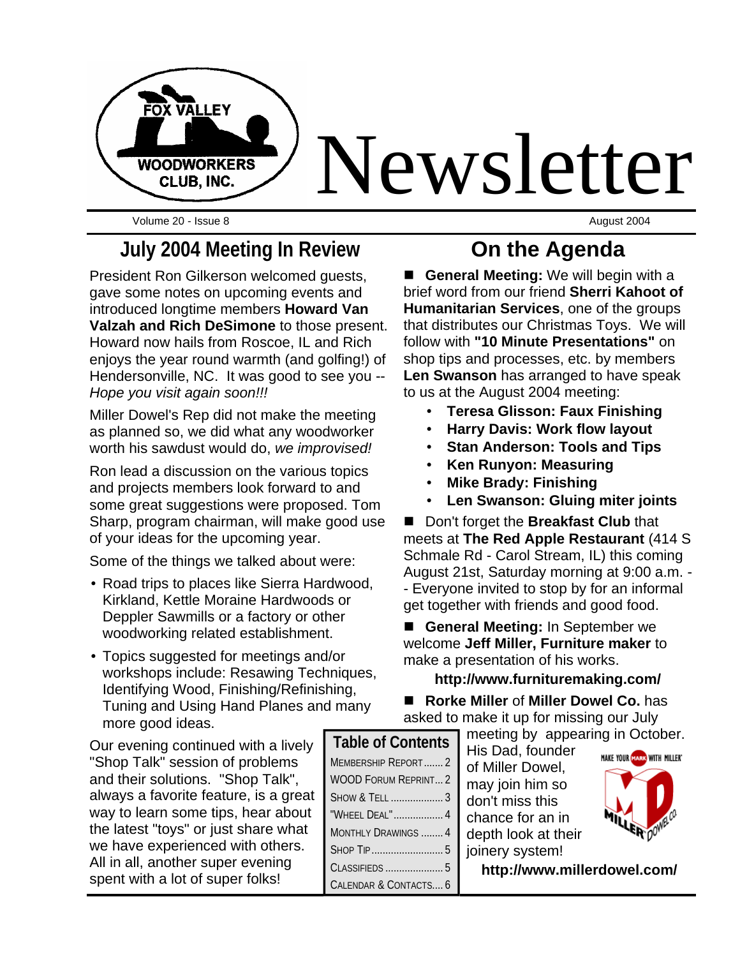

Volume 20 - Issue 8 August 2004

# **July 2004 Meeting In Review**

President Ron Gilkerson welcomed guests, gave some notes on upcoming events and introduced longtime members **Howard Van Valzah and Rich DeSimone** to those present. Howard now hails from Roscoe, IL and Rich enjoys the year round warmth (and golfing!) of Hendersonville, NC. It was good to see you -- *Hope you visit again soon!!!*

Miller Dowel's Rep did not make the meeting as planned so, we did what any woodworker worth his sawdust would do, *we improvised!*

Ron lead a discussion on the various topics and projects members look forward to and some great suggestions were proposed. Tom Sharp, program chairman, will make good use of your ideas for the upcoming year.

Some of the things we talked about were:

- Road trips to places like Sierra Hardwood, Kirkland, Kettle Moraine Hardwoods or Deppler Sawmills or a factory or other woodworking related establishment.
- Topics suggested for meetings and/or workshops include: Resawing Techniques, Identifying Wood, Finishing/Refinishing, Tuning and Using Hand Planes and many more good ideas.

Our evening continued with a lively "Shop Talk" session of problems and their solutions. "Shop Talk", always a favorite feature, is a great way to learn some tips, hear about the latest "toys" or just share what we have experienced with others. All in all, another super evening spent with a lot of super folks!

# **On the Agenda**

**E** General Meeting: We will begin with a brief word from our friend **Sherri Kahoot of Humanitarian Services**, one of the groups that distributes our Christmas Toys. We will follow with **"10 Minute Presentations"** on shop tips and processes, etc. by members **Len Swanson** has arranged to have speak to us at the August 2004 meeting:

- **Teresa Glisson: Faux Finishing**
- **Harry Davis: Work flow layout**
- **Stan Anderson: Tools and Tips**
- **Ken Runyon: Measuring**
- **Mike Brady: Finishing**
- **Len Swanson: Gluing miter joints**

■ Don't forget the **Breakfast Club** that meets at **The Red Apple Restaurant** (414 S Schmale Rd - Carol Stream, IL) this coming August 21st, Saturday morning at 9:00 a.m. - - Everyone invited to stop by for an informal get together with friends and good food.

**E** General Meeting: In September we welcome **Jeff Miller, Furniture maker** to make a presentation of his works.

### **http://www.furnituremaking.com/**

■ Rorke Miller of Miller Dowel Co. has asked to make it up for missing our July

meeting by appearing in October.

His Dad, founder of Miller Dowel, may join him so don't miss this chance for an in depth look at their joinery system!



**http://www.millerdowel.com/**

| <b>Table of Contents</b>    |
|-----------------------------|
| MEMBERSHIP REPORT2          |
| <b>WOOD FORUM REPRINT 2</b> |
| SHOW & TELL  3              |
| "WHEEL DEAL"  4             |
| MONTHLY DRAWINGS  4         |
|                             |
|                             |
| CALENDAR & CONTACTS 6       |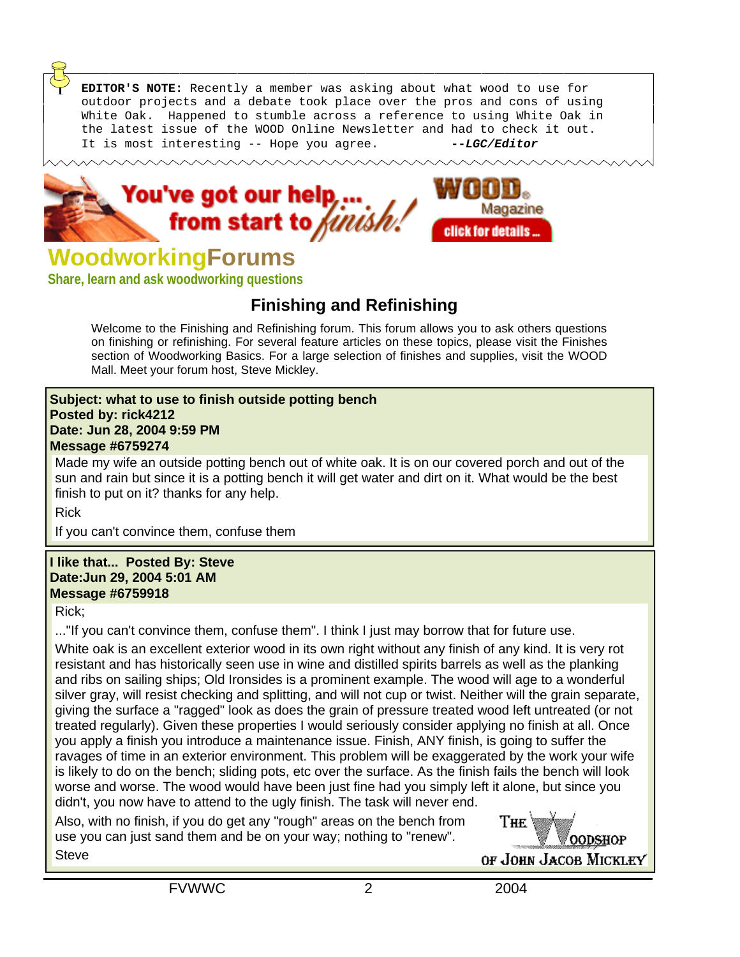**EDITOR'S NOTE:** Recently a member was asking about what wood to use for outdoor projects and a debate took place over the pros and cons of using White Oak. Happened to stumble across a reference to using White Oak in the latest issue of the WOOD Online Newsletter and had to check it out. It is most interesting -- Hope you agree. **--***LGC/Editor*





# **WoodworkingForums**

**Share, learn and ask woodworking questions**

### **Finishing and Refinishing**

Welcome to the Finishing and Refinishing forum. This forum allows you to ask others questions on finishing or refinishing. For several feature articles on these topics, please visit the Finishes section of Woodworking Basics. For a large selection of finishes and supplies, visit the WOOD Mall. Meet your forum host, Steve Mickley.

#### **Subject: what to use to finish outside potting bench Posted by: rick4212 Date: Jun 28, 2004 9:59 PM Message #6759274**

Made my wife an outside potting bench out of white oak. It is on our covered porch and out of the sun and rain but since it is a potting bench it will get water and dirt on it. What would be the best finish to put on it? thanks for any help.

Rick

If you can't convince them, confuse them

#### **I like that... Posted By: Steve Date:Jun 29, 2004 5:01 AM Message #6759918**

Rick;

..."If you can't convince them, confuse them". I think I just may borrow that for future use.

White oak is an excellent exterior wood in its own right without any finish of any kind. It is very rot resistant and has historically seen use in wine and distilled spirits barrels as well as the planking and ribs on sailing ships; Old Ironsides is a prominent example. The wood will age to a wonderful silver gray, will resist checking and splitting, and will not cup or twist. Neither will the grain separate, giving the surface a "ragged" look as does the grain of pressure treated wood left untreated (or not treated regularly). Given these properties I would seriously consider applying no finish at all. Once you apply a finish you introduce a maintenance issue. Finish, ANY finish, is going to suffer the ravages of time in an exterior environment. This problem will be exaggerated by the work your wife is likely to do on the bench; sliding pots, etc over the surface. As the finish fails the bench will look worse and worse. The wood would have been just fine had you simply left it alone, but since you didn't, you now have to attend to the ugly finish. The task will never end.

Also, with no finish, if you do get any "rough" areas on the bench from use you can just sand them and be on your way; nothing to "renew". **Steve** 

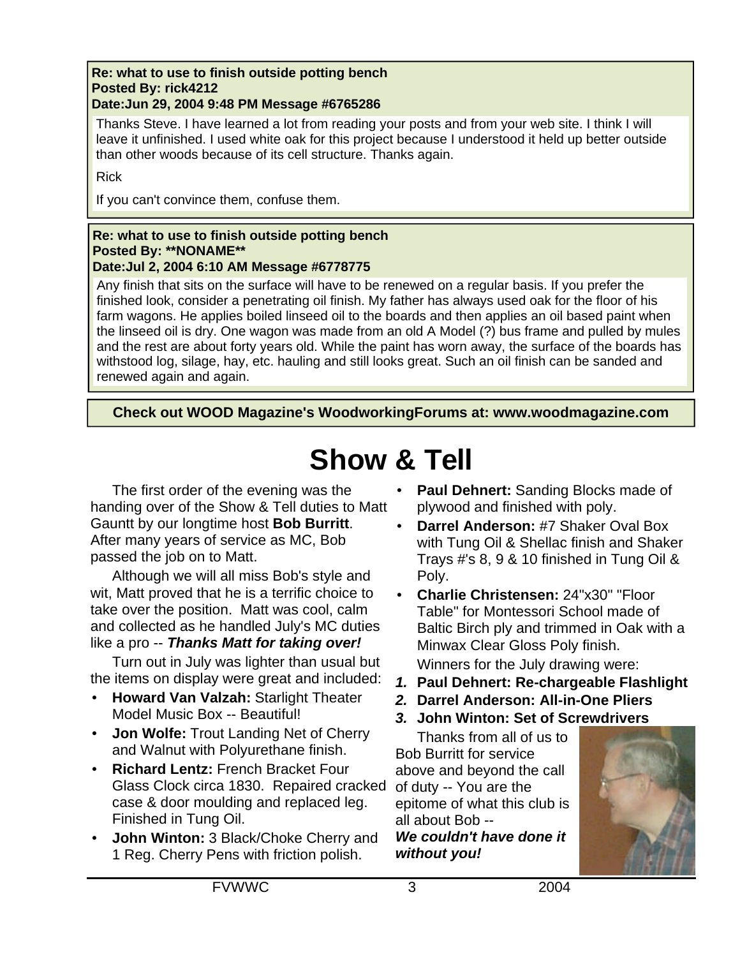#### **Re: what to use to finish outside potting bench Posted By: rick4212 Date:Jun 29, 2004 9:48 PM Message #6765286**

Thanks Steve. I have learned a lot from reading your posts and from your web site. I think I will leave it unfinished. I used white oak for this project because I understood it held up better outside than other woods because of its cell structure. Thanks again.

### Rick

If you can't convince them, confuse them.

#### **Re: what to use to finish outside potting bench Posted By: \*\*NONAME\*\* Date:Jul 2, 2004 6:10 AM Message #6778775**

Any finish that sits on the surface will have to be renewed on a regular basis. If you prefer the finished look, consider a penetrating oil finish. My father has always used oak for the floor of his farm wagons. He applies boiled linseed oil to the boards and then applies an oil based paint when the linseed oil is dry. One wagon was made from an old A Model (?) bus frame and pulled by mules and the rest are about forty years old. While the paint has worn away, the surface of the boards has withstood log, silage, hay, etc. hauling and still looks great. Such an oil finish can be sanded and renewed again and again.

**Check out WOOD Magazine's WoodworkingForums at: www.woodmagazine.com**

# **Show & Tell**

The first order of the evening was the handing over of the Show & Tell duties to Matt Gauntt by our longtime host **Bob Burritt**. After many years of service as MC, Bob passed the job on to Matt.

Although we will all miss Bob's style and wit, Matt proved that he is a terrific choice to take over the position. Matt was cool, calm and collected as he handled July's MC duties like a pro -- *Thanks Matt for taking over!*

Turn out in July was lighter than usual but the items on display were great and included:

- **Howard Van Valzah:** Starlight Theater Model Music Box -- Beautiful!
- **Jon Wolfe:** Trout Landing Net of Cherry and Walnut with Polyurethane finish.
- **Richard Lentz:** French Bracket Four Glass Clock circa 1830. Repaired cracked case & door moulding and replaced leg. Finished in Tung Oil.
- **John Winton:** 3 Black/Choke Cherry and 1 Reg. Cherry Pens with friction polish.
- **Paul Dehnert:** Sanding Blocks made of plywood and finished with poly.
- **Darrel Anderson:** #7 Shaker Oval Box with Tung Oil & Shellac finish and Shaker Trays #'s 8, 9 & 10 finished in Tung Oil & Poly.
- **Charlie Christensen:** 24"x30" "Floor Table" for Montessori School made of Baltic Birch ply and trimmed in Oak with a Minwax Clear Gloss Poly finish.

Winners for the July drawing were:

- *1.* **Paul Dehnert: Re-chargeable Flashlight**
- *2.* **Darrel Anderson: All-in-One Pliers**
- *3.* **John Winton: Set of Screwdrivers**

Thanks from all of us to Bob Burritt for service above and beyond the call of duty -- You are the epitome of what this club is all about Bob -- *We couldn't have done it without you!*

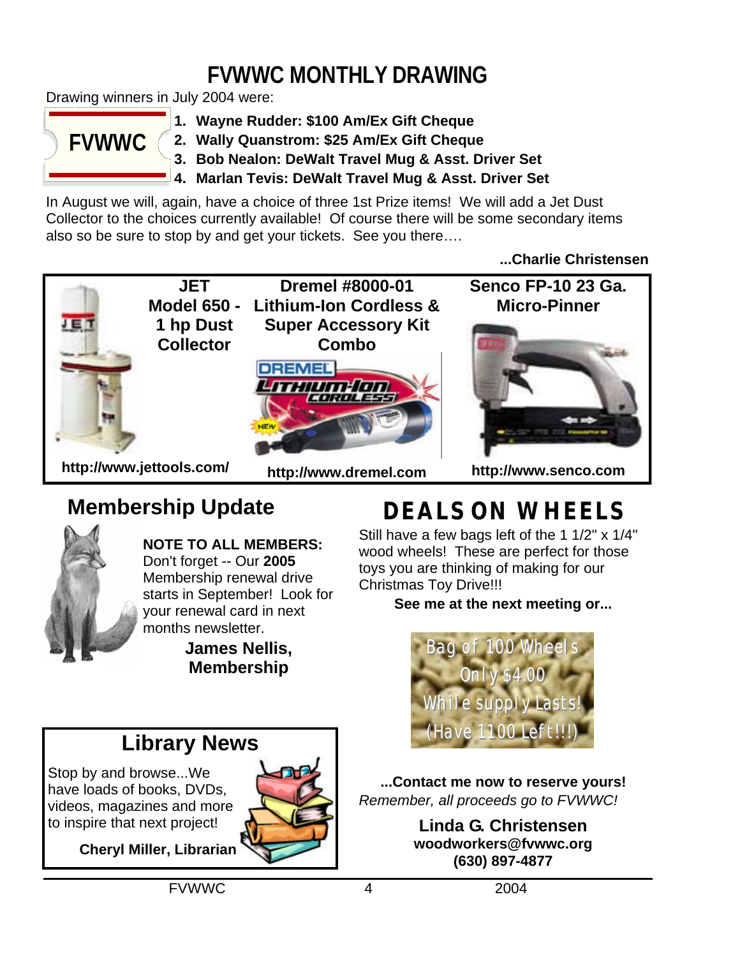# **FVWWC MONTHLY DRAWING**

Drawing winners in July 2004 were:



**1. Wayne Rudder: \$100 Am/Ex Gift Cheque**

**2. Wally Quanstrom: \$25 Am/Ex Gift Cheque**

**3. Bob Nealon: DeWalt Travel Mug & Asst. Driver Set**

**4. Marlan Tevis: DeWalt Travel Mug & Asst. Driver Set**

In August we will, again, have a choice of three 1st Prize items! We will add a Jet Dust Collector to the choices currently available! Of course there will be some secondary items also so be sure to stop by and get your tickets. See you there….

**...Charlie Christensen**



# **Membership Update**

![](_page_3_Picture_11.jpeg)

**NOTE TO ALL MEMBERS:**  Don't forget -- Our **2005** Membership renewal drive starts in September! Look for your renewal card in next months newsletter.

**James Nellis, Membership**

# **DEALS ON WHEELS**

Still have a few bags left of the 1 1/2" x 1/4" wood wheels! These are perfect for those toys you are thinking of making for our Christmas Toy Drive!!!

**See me at the next meeting or...**

![](_page_3_Picture_17.jpeg)

# **Library News**

Stop by and browse...We have loads of books, DVDs, videos, magazines and more to inspire that next project!

![](_page_3_Picture_20.jpeg)

**Cheryl Miller, Librarian**

**...Contact me now to reserve yours!** *Remember, all proceeds go to FVWWC!*

> **Linda G. Christensen woodworkers@fvwwc.org (630) 897-4877**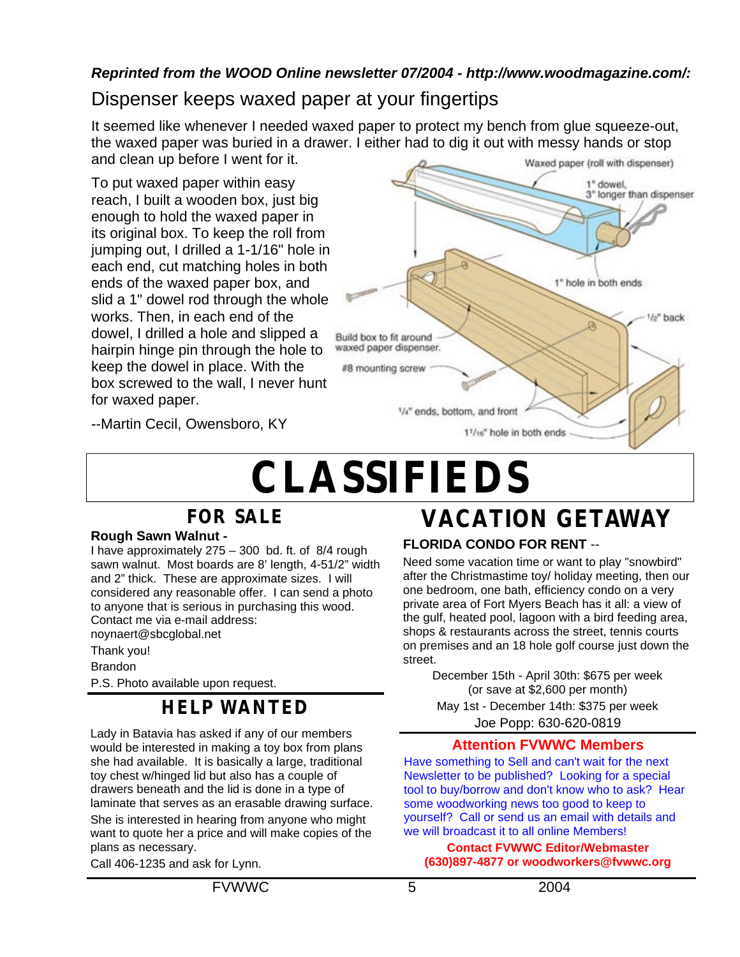### *Reprinted from the WOOD Online newsletter 07/2004 - http://www.woodmagazine.com/:*

## Dispenser keeps waxed paper at your fingertips

It seemed like whenever I needed waxed paper to protect my bench from glue squeeze-out, the waxed paper was buried in a drawer. I either had to dig it out with messy hands or stop and clean up before I went for it. Waxed paper (roll with dispenser)

To put waxed paper within easy reach, I built a wooden box, just big enough to hold the waxed paper in its original box. To keep the roll from jumping out, I drilled a 1-1/16" hole in each end, cut matching holes in both ends of the waxed paper box, and slid a 1" dowel rod through the whole works. Then, in each end of the dowel, I drilled a hole and slipped a hairpin hinge pin through the hole to keep the dowel in place. With the box screwed to the wall, I never hunt for waxed paper.

![](_page_4_Figure_4.jpeg)

--Martin Cecil, Owensboro, KY

# **CLASSIFIEDS**

## **FOR SALE**

### **Rough Sawn Walnut -**

I have approximately 275 – 300 bd. ft. of 8/4 rough sawn walnut. Most boards are 8' length, 4-51/2" width and 2" thick. These are approximate sizes. I will considered any reasonable offer. I can send a photo to anyone that is serious in purchasing this wood. Contact me via e-mail address: noynaert@sbcglobal.net

Thank you!

**Brandon** 

P.S. Photo available upon request.

### **HELP WANTED**

Lady in Batavia has asked if any of our members would be interested in making a toy box from plans she had available. It is basically a large, traditional toy chest w/hinged lid but also has a couple of drawers beneath and the lid is done in a type of laminate that serves as an erasable drawing surface. She is interested in hearing from anyone who might want to quote her a price and will make copies of the plans as necessary.

Call 406-1235 and ask for Lynn.

# **VACATION GETAWAY**

### **FLORIDA CONDO FOR RENT** --

Need some vacation time or want to play "snowbird" after the Christmastime toy/ holiday meeting, then our one bedroom, one bath, efficiency condo on a very private area of Fort Myers Beach has it all: a view of the gulf, heated pool, lagoon with a bird feeding area, shops & restaurants across the street, tennis courts on premises and an 18 hole golf course just down the street.

December 15th - April 30th: \$675 per week (or save at \$2,600 per month) May 1st - December 14th: \$375 per week Joe Popp: 630-620-0819

### **Attention FVWWC Members**

Have something to Sell and can't wait for the next Newsletter to be published? Looking for a special tool to buy/borrow and don't know who to ask? Hear some woodworking news too good to keep to yourself? Call or send us an email with details and we will broadcast it to all online Members!

**Contact FVWWC Editor/Webmaster (630)897-4877 or woodworkers@fvwwc.org**